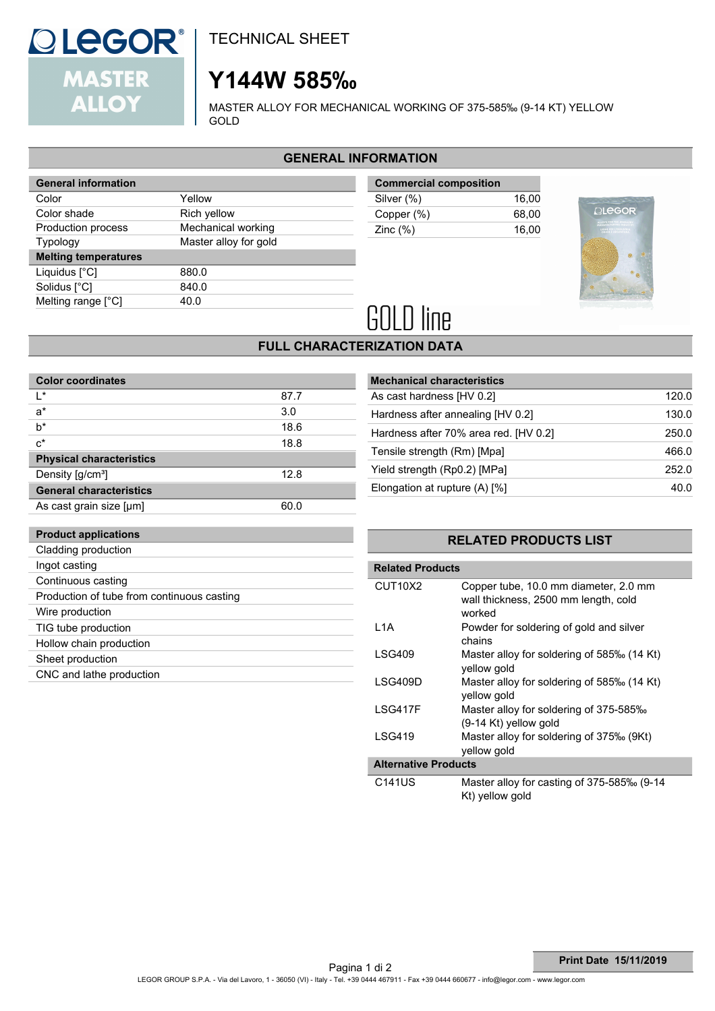### TECHNICAL SHEET

## **Y144W 585‰**

MASTER ALLOY FOR MECHANICAL WORKING OF 375-585‰ (9-14 KT) YELLOW GOLD

#### **GENERAL INFORMATION**

| <b>General information</b>  |                       |
|-----------------------------|-----------------------|
| Color                       | Yellow                |
| Color shade                 | Rich yellow           |
| Production process          | Mechanical working    |
| <b>Typology</b>             | Master alloy for gold |
| <b>Melting temperatures</b> |                       |
| Liquidus [°C]               | 880.0                 |
|                             |                       |
| Solidus [°C]                | 840.0                 |
| Melting range [°C]          | 40.O                  |

| <b>Commercial composition</b> |       |  |
|-------------------------------|-------|--|
| Silver (%)                    | 16.00 |  |
| Copper (%)                    | 68.00 |  |
| Zinc $(\%)$                   | 16.00 |  |



# **GOLD** line

#### **FULL CHARACTERIZATION DATA**

| <b>Color coordinates</b>        |      |  |  |  |
|---------------------------------|------|--|--|--|
| ı∗                              | 87.7 |  |  |  |
| $a^*$                           | 3.0  |  |  |  |
| $b^*$                           | 18.6 |  |  |  |
| $c^*$                           | 18.8 |  |  |  |
| <b>Physical characteristics</b> |      |  |  |  |
| Density [g/cm <sup>3</sup> ]    | 12.8 |  |  |  |
| <b>General characteristics</b>  |      |  |  |  |
| As cast grain size [µm]         | 60 N |  |  |  |

| <b>Mechanical characteristics</b>     |       |
|---------------------------------------|-------|
| As cast hardness [HV 0.2]             | 120.0 |
| Hardness after annealing [HV 0.2]     | 130.0 |
| Hardness after 70% area red. [HV 0.2] | 250.0 |
| Tensile strength (Rm) [Mpa]           | 466.0 |
| Yield strength (Rp0.2) [MPa]          | 252.0 |
| Elongation at rupture $(A)$ [%]       | 40.0  |
|                                       |       |

#### **RELATED PRODUCTS LIST**

| <b>Related Products</b>          |                                                                                         |  |
|----------------------------------|-----------------------------------------------------------------------------------------|--|
| CUT <sub>10</sub> X <sub>2</sub> | Copper tube, 10.0 mm diameter, 2.0 mm<br>wall thickness, 2500 mm length, cold<br>worked |  |
| L1A                              | Powder for soldering of gold and silver<br>chains                                       |  |
| LSG409                           | Master alloy for soldering of 585‰ (14 Kt)<br>vellow gold                               |  |
| LSG409D                          | Master alloy for soldering of 585‰ (14 Kt)<br>yellow gold                               |  |
| I SG417F                         | Master alloy for soldering of 375-585‰<br>$(9-14$ Kt) yellow gold                       |  |
| I SG419                          | Master alloy for soldering of 375‰ (9Kt)<br>yellow gold                                 |  |
| <b>Alternative Products</b>      |                                                                                         |  |
| C141US                           | Master alloy for casting of 375-585‰ (9-14<br>Kt) vellow gold                           |  |

#### **Product applications**

**QLEGOR®** 

**MASTER ALLOY** 

| Cladding production                        |
|--------------------------------------------|
| Ingot casting                              |
| Continuous casting                         |
| Production of tube from continuous casting |
| Wire production                            |
| TIG tube production                        |
| Hollow chain production                    |
| Sheet production                           |
| CNC and lathe production                   |
|                                            |